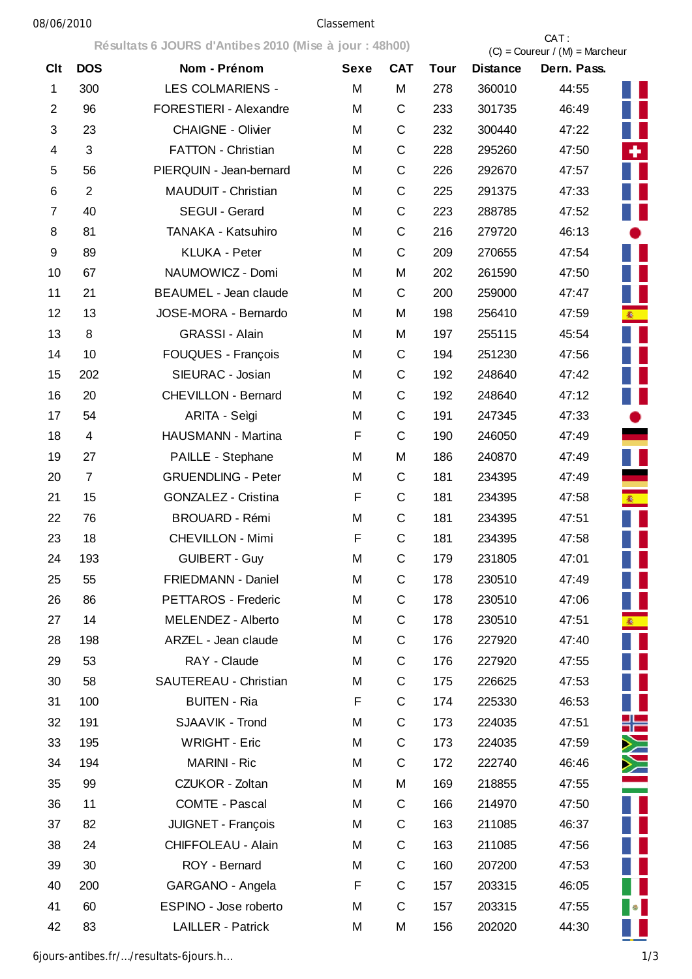## 08/06/2010 Classement

**Résultats 6 JOURS d'Antibes 2010 (Mise à jour : 48h00)** CAT :

|                |                | Resultats o JOURS & Antibes 2010 (MISE à JOUR : 401100) |             |             | $(C) =$ Coureur / $(M) =$ Marcheur |                 |                    |  |
|----------------|----------------|---------------------------------------------------------|-------------|-------------|------------------------------------|-----------------|--------------------|--|
| <b>Clt</b>     | <b>DOS</b>     | Nom - Prénom                                            | <b>Sexe</b> | <b>CAT</b>  | <b>Tour</b>                        | <b>Distance</b> | Dern. Pass.        |  |
| $\mathbf{1}$   | 300            | <b>LES COLMARIENS -</b>                                 | M           | M           | 278                                | 360010          | 44:55<br>H         |  |
| $\overline{2}$ | 96             | FORESTIERI - Alexandre                                  | M           | $\mathsf C$ | 233                                | 301735          | H<br>46:49         |  |
| 3              | 23             | <b>CHAIGNE - Olivier</b>                                | M           | $\mathsf C$ | 232                                | 300440          | Ш<br>47:22         |  |
| $\overline{4}$ | 3              | FATTON - Christian                                      | M           | C           | 228                                | 295260          | ÷.<br>47:50        |  |
| 5              | 56             | PIERQUIN - Jean-bernard                                 | M           | $\mathsf C$ | 226                                | 292670          | ш<br>47:57         |  |
| 6              | 2              | MAUDUIT - Christian                                     | M           | $\mathsf C$ | 225                                | 291375          | 47:33              |  |
| $\overline{7}$ | 40             | SEGUI - Gerard                                          | M           | C           | 223                                | 288785          | Ш<br>47:52         |  |
| 8              | 81             | TANAKA - Katsuhiro                                      | M           | $\mathsf C$ | 216                                | 279720          | 46:13              |  |
| 9              | 89             | <b>KLUKA - Peter</b>                                    | M           | $\mathsf C$ | 209                                | 270655          | Ш<br>47:54         |  |
| 10             | 67             | NAUMOWICZ - Domi                                        | M           | M           | 202                                | 261590          | 47:50              |  |
| 11             | 21             | <b>BEAUMEL - Jean claude</b>                            | M           | $\mathsf C$ | 200                                | 259000          | Ш<br>47:47         |  |
| 12             | 13             | JOSE-MORA - Bernardo                                    | M           | M           | 198                                | 256410          | 47:59<br>案         |  |
| 13             | 8              | <b>GRASSI - Alain</b>                                   | M           | M           | 197                                | 255115          | 45:54<br>Ш         |  |
| 14             | 10             | <b>FOUQUES - François</b>                               | M           | C           | 194                                | 251230          | 47:56              |  |
| 15             | 202            | SIEURAC - Josian                                        | M           | C           | 192                                | 248640          | H<br>47:42         |  |
| 16             | 20             | <b>CHEVILLON - Bernard</b>                              | M           | C           | 192                                | 248640          | H<br>47:12         |  |
| 17             | 54             | ARITA - Seìgi                                           | M           | $\mathsf C$ | 191                                | 247345          | 47:33              |  |
| 18             | $\overline{4}$ | HAUSMANN - Martina                                      | $\mathsf F$ | $\mathsf C$ | 190                                | 246050          | 47:49              |  |
| 19             | 27             | PAILLE - Stephane                                       | M           | M           | 186                                | 240870          | II<br>47:49        |  |
| 20             | $\overline{7}$ | <b>GRUENDLING - Peter</b>                               | M           | C           | 181                                | 234395          | 47:49              |  |
| 21             | 15             | <b>GONZALEZ - Cristina</b>                              | F           | $\mathsf C$ | 181                                | 234395          | 47:58<br><b>图</b>  |  |
| 22             | 76             | <b>BROUARD - Rémi</b>                                   | M           | C           | 181                                | 234395          | 47:51              |  |
| 23             | 18             | <b>CHEVILLON - Mimi</b>                                 | F           | $\mathsf C$ | 181                                | 234395          | 47:58              |  |
| 24             | 193            | <b>GUIBERT - Guy</b>                                    | M           | C           | 179                                | 231805          | 47:01              |  |
| 25             | 55             | FRIEDMANN - Daniel                                      | M           | C           | 178                                | 230510          | 47:49              |  |
| 26             | 86             | PETTAROS - Frederic                                     | M           | C           | 178                                | 230510          | Ш<br>47:06         |  |
| 27             | 14             | MELENDEZ - Alberto                                      | M           | C           | 178                                | 230510          | <b>徽</b><br>47:51  |  |
| 28             | 198            | ARZEL - Jean claude                                     | M           | C           | 176                                | 227920          | 47:40              |  |
| 29             | 53             | RAY - Claude                                            | M           | C           | 176                                | 227920          | 47:55              |  |
| 30             | 58             | SAUTEREAU - Christian                                   | M           | C           | 175                                | 226625          | Ш<br>47:53         |  |
| 31             | 100            | <b>BUITEN - Ria</b>                                     | F           | $\mathsf C$ | 174                                | 225330          | Ш<br>46:53         |  |
| 32             | 191            | SJAAVIK - Trond                                         | M           | $\mathsf C$ | 173                                | 224035          | ╬═<br>47:51        |  |
| 33             | 195            | <b>WRIGHT - Eric</b>                                    | M           | $\mathsf C$ | 173                                | 224035          | Ň<br>47:59         |  |
| 34             | 194            | <b>MARINI - Ric</b>                                     | M           | C           | 172                                | 222740          | Ň<br>46:46         |  |
| 35             | 99             | CZUKOR - Zoltan                                         | M           | M           | 169                                | 218855          | 47:55              |  |
| 36             | 11             | <b>COMTE - Pascal</b>                                   | M           | С           | 166                                | 214970          | $\prod$<br>47:50   |  |
| 37             | 82             | JUIGNET - François                                      | M           | С           | 163                                | 211085          | 46:37              |  |
| 38             | 24             | CHIFFOLEAU - Alain                                      | M           | С           | 163                                | 211085          | Ш<br>47:56         |  |
| 39             | 30             | ROY - Bernard                                           | M           | C           | 160                                | 207200          | 47:53              |  |
| 40             | 200            | GARGANO - Angela                                        | F           | C           | 157                                | 203315          | H<br>46:05         |  |
| 41             | 60             | ESPINO - Jose roberto                                   | M           | C           | 157                                | 203315          | $\bullet$<br>47:55 |  |
| 42             | 83             | <b>LAILLER - Patrick</b>                                | M           | М           | 156                                | 202020          | 44:30              |  |

6jours-antibes.fr/…/resultats-6jours.h… 1/3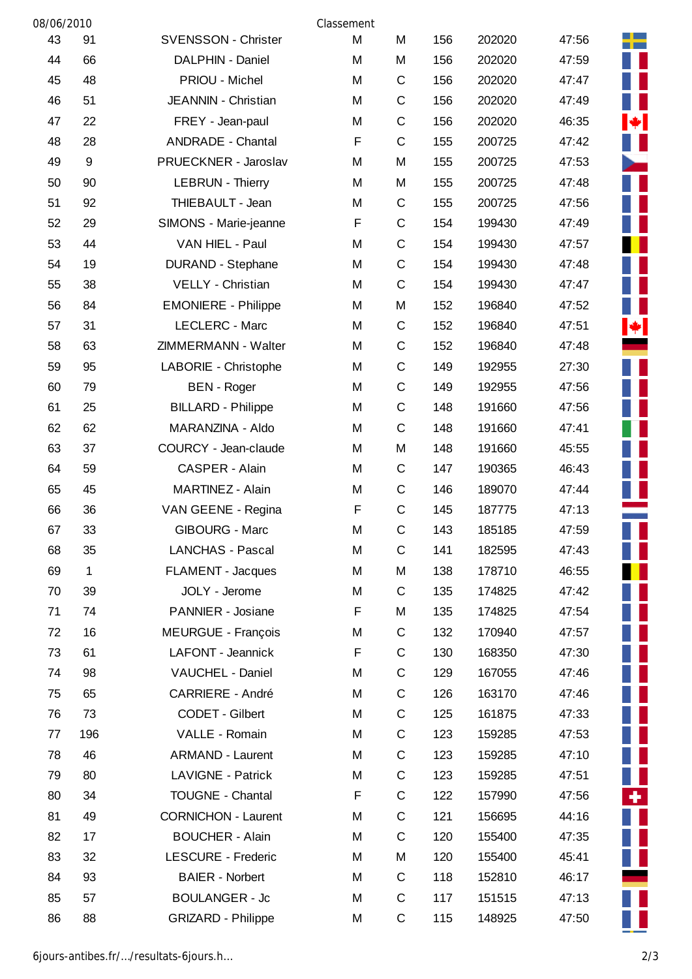| 08/06/2010 |              |                            | Classement |             |     |        |       |  |
|------------|--------------|----------------------------|------------|-------------|-----|--------|-------|--|
| 43         | 91           | <b>SVENSSON - Christer</b> | M          | M           | 156 | 202020 | 47:56 |  |
| 44         | 66           | DALPHIN - Daniel           | M          | M           | 156 | 202020 | 47:59 |  |
| 45         | 48           | PRIOU - Michel             | М          | C           | 156 | 202020 | 47:47 |  |
| 46         | 51           | JEANNIN - Christian        | M          | C           | 156 | 202020 | 47:49 |  |
| 47         | 22           | FREY - Jean-paul           | М          | C           | 156 | 202020 | 46:35 |  |
| 48         | 28           | <b>ANDRADE - Chantal</b>   | F          | $\mathsf C$ | 155 | 200725 | 47:42 |  |
| 49         | 9            | PRUECKNER - Jaroslav       | M          | M           | 155 | 200725 | 47:53 |  |
| 50         | 90           | <b>LEBRUN - Thierry</b>    | M          | M           | 155 | 200725 | 47:48 |  |
| 51         | 92           | THIEBAULT - Jean           | М          | $\mathsf C$ | 155 | 200725 | 47:56 |  |
| 52         | 29           | SIMONS - Marie-jeanne      | F          | C           | 154 | 199430 | 47:49 |  |
| 53         | 44           | VAN HIEL - Paul            | М          | C           | 154 | 199430 | 47:57 |  |
| 54         | 19           | <b>DURAND - Stephane</b>   | Μ          | C           | 154 | 199430 | 47:48 |  |
| 55         | 38           | VELLY - Christian          | M          | C           | 154 | 199430 | 47:47 |  |
| 56         | 84           | <b>EMONIERE - Philippe</b> | М          | M           | 152 | 196840 | 47:52 |  |
| 57         | 31           | LECLERC - Marc             | M          | C           | 152 | 196840 | 47:51 |  |
| 58         | 63           | ZIMMERMANN - Walter        | M          | C           | 152 | 196840 | 47:48 |  |
| 59         | 95           | LABORIE - Christophe       | M          | C           | 149 | 192955 | 27:30 |  |
| 60         | 79           | <b>BEN</b> - Roger         | М          | C           | 149 | 192955 | 47:56 |  |
| 61         | 25           | <b>BILLARD - Philippe</b>  | M          | C           | 148 | 191660 | 47:56 |  |
| 62         | 62           | MARANZINA - Aldo           | M          | C           | 148 | 191660 | 47:41 |  |
| 63         | 37           | COURCY - Jean-claude       | M          | M           | 148 | 191660 | 45:55 |  |
| 64         | 59           | CASPER - Alain             | М          | C           | 147 | 190365 | 46:43 |  |
| 65         | 45           | MARTINEZ - Alain           | М          | $\mathsf C$ | 146 | 189070 | 47:44 |  |
| 66         | 36           | VAN GEENE - Regina         | F          | $\mathsf C$ | 145 | 187775 | 47:13 |  |
| 67         | 33           | <b>GIBOURG - Marc</b>      | M          | C           | 143 | 185185 | 47:59 |  |
| 68         | 35           | <b>LANCHAS - Pascal</b>    | Μ          | $\mathsf C$ | 141 | 182595 | 47:43 |  |
| 69         | $\mathbf{1}$ | FLAMENT - Jacques          | M          | M           | 138 | 178710 | 46:55 |  |
| 70         | 39           | JOLY - Jerome              | М          | C           | 135 | 174825 | 47:42 |  |
| 71         | 74           | PANNIER - Josiane          | F          | M           | 135 | 174825 | 47:54 |  |
| 72         | 16           | MEURGUE - François         | М          | C           | 132 | 170940 | 47:57 |  |
| 73         | 61           | LAFONT - Jeannick          | F          | C           | 130 | 168350 | 47:30 |  |
| 74         | 98           | VAUCHEL - Daniel           | M          | C           | 129 | 167055 | 47:46 |  |
| 75         | 65           | <b>CARRIERE - André</b>    | M          | C           | 126 | 163170 | 47:46 |  |
| 76         | 73           | CODET - Gilbert            | М          | C           | 125 | 161875 | 47:33 |  |
| 77         | 196          | VALLE - Romain             | M          | C           | 123 | 159285 | 47:53 |  |
| 78         | 46           | <b>ARMAND - Laurent</b>    | М          | C           | 123 | 159285 | 47:10 |  |
| 79         | 80           | <b>LAVIGNE - Patrick</b>   | М          | $\mathsf C$ | 123 | 159285 | 47:51 |  |
| 80         | 34           | <b>TOUGNE - Chantal</b>    | F          | $\mathsf C$ | 122 | 157990 | 47:56 |  |
| 81         | 49           | <b>CORNICHON - Laurent</b> | M          | C           | 121 | 156695 | 44:16 |  |
| 82         | 17           | <b>BOUCHER - Alain</b>     | M          | C           | 120 | 155400 | 47:35 |  |
| 83         | 32           | LESCURE - Frederic         | M          | M           | 120 | 155400 | 45:41 |  |
| 84         | 93           | <b>BAIER - Norbert</b>     | M          | C           | 118 | 152810 | 46:17 |  |
| 85         | 57           | <b>BOULANGER - Jc</b>      | М          | C           | 117 | 151515 | 47:13 |  |
| 86         | 88           | <b>GRIZARD - Philippe</b>  | М          | C           | 115 | 148925 | 47:50 |  |

L ÷.

ш

Т Г

М

L ₩

> г П П

> п